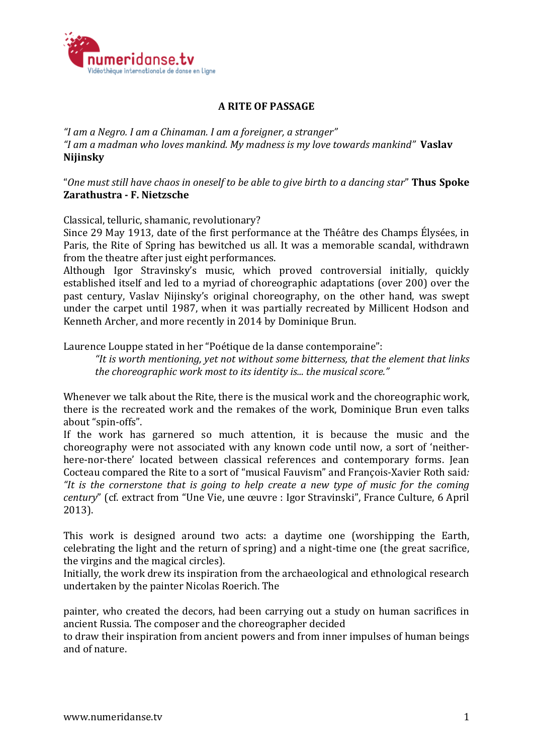

## **A RITE OF PASSAGE**

*"I am a Negro. I am a Chinaman. I am a foreigner, a stranger"*  "I am a madman who loves mankind. My madness is my love towards mankind" **Vaslav Nijinsky**

"One must still have chaos in oneself to be able to give birth to a dancing star" **Thus Spoke Zarathustra - F. Nietzsche**

Classical, telluric, shamanic, revolutionary?

Since 29 May 1913, date of the first performance at the Théâtre des Champs Élysées, in Paris, the Rite of Spring has bewitched us all. It was a memorable scandal, withdrawn from the theatre after just eight performances.

Although Igor Stravinsky's music, which proved controversial initially, quickly established itself and led to a myriad of choreographic adaptations (over 200) over the past century, Vaslav Nijinsky's original choreography, on the other hand, was swept under the carpet until 1987, when it was partially recreated by Millicent Hodson and Kenneth Archer, and more recently in 2014 by Dominique Brun.

Laurence Louppe stated in her "Poétique de la danse contemporaine":

"It is worth mentioning, vet not without some bitterness, that the element that links *the choreographic work most to its identity is... the musical score."* 

Whenever we talk about the Rite, there is the musical work and the choreographic work, there is the recreated work and the remakes of the work. Dominique Brun even talks about "spin-offs".

If the work has garnered so much attention, it is because the music and the choreography were not associated with any known code until now, a sort of 'neitherhere-nor-there' located between classical references and contemporary forms. Iean Cocteau compared the Rite to a sort of "musical Fauvism" and François-Xavier Roth said: "It is the cornerstone that is going to help create a new type of music for the coming *century*" (cf. extract from "Une Vie, une œuvre : Igor Stravinski", France Culture, 6 April 2013). 

This work is designed around two acts: a daytime one (worshipping the Earth, celebrating the light and the return of spring) and a night-time one (the great sacrifice, the virgins and the magical circles).

Initially, the work drew its inspiration from the archaeological and ethnological research undertaken by the painter Nicolas Roerich. The

painter, who created the decors, had been carrying out a study on human sacrifices in ancient Russia. The composer and the choreographer decided

to draw their inspiration from ancient powers and from inner impulses of human beings and of nature.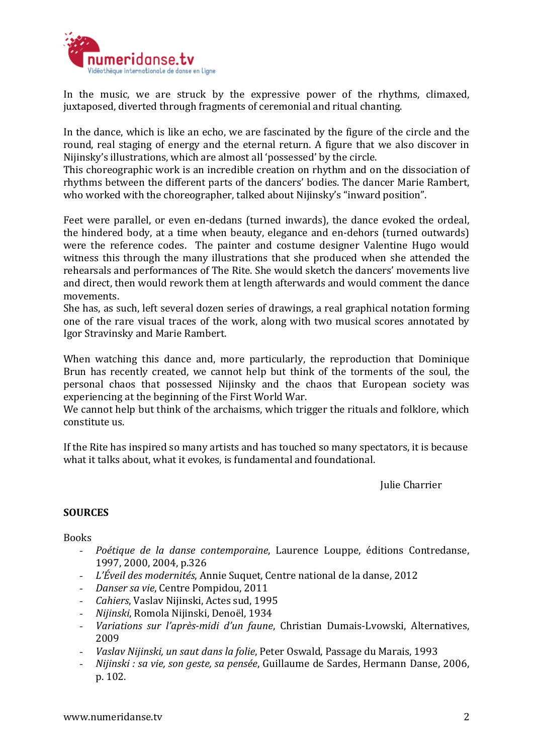

In the music, we are struck by the expressive power of the rhythms, climaxed, juxtaposed, diverted through fragments of ceremonial and ritual chanting.

In the dance, which is like an echo, we are fascinated by the figure of the circle and the round, real staging of energy and the eternal return. A figure that we also discover in Nijinsky's illustrations, which are almost all 'possessed' by the circle.

This choreographic work is an incredible creation on rhythm and on the dissociation of rhythms between the different parts of the dancers' bodies. The dancer Marie Rambert, who worked with the choreographer, talked about Nijinsky's "inward position".

Feet were parallel, or even en-dedans (turned inwards), the dance evoked the ordeal, the hindered body, at a time when beauty, elegance and en-dehors (turned outwards) were the reference codes. The painter and costume designer Valentine Hugo would witness this through the many illustrations that she produced when she attended the rehearsals and performances of The Rite. She would sketch the dancers' movements live and direct, then would rework them at length afterwards and would comment the dance movements. 

She has, as such, left several dozen series of drawings, a real graphical notation forming one of the rare visual traces of the work, along with two musical scores annotated by Igor Stravinsky and Marie Rambert. 

When watching this dance and, more particularly, the reproduction that Dominique Brun has recently created, we cannot help but think of the torments of the soul, the personal chaos that possessed Nijinsky and the chaos that European society was experiencing at the beginning of the First World War.

We cannot help but think of the archaisms, which trigger the rituals and folklore, which constitute us.

If the Rite has inspired so many artists and has touched so many spectators, it is because what it talks about, what it evokes, is fundamental and foundational.

**Julie Charrier** 

## **SOURCES**

**Books** 

- *- Poétique de la danse contemporaine*, Laurence Louppe, éditions Contredanse, 1997, 2000, 2004, p.326
- *- L'Éveil des modernités*, Annie Suquet, Centre national de la danse, 2012
- *- Danser sa vie*, Centre Pompidou, 2011
- *- Cahiers*, Vaslav Nijinski, Actes sud, 1995
- *- Nijinski*, Romola Nijinski, Denoël, 1934
- *- Variations sur l'après-midi d'un faune*, Christian Dumais-Lvowski, Alternatives, 2009
- *- Vaslav Nijinski, un saut dans la folie*, Peter Oswald, Passage du Marais, 1993
- *- Nijinski : sa vie, son geste, sa pensée, Guillaume de Sardes, Hermann Danse, 2006,* p. 102.